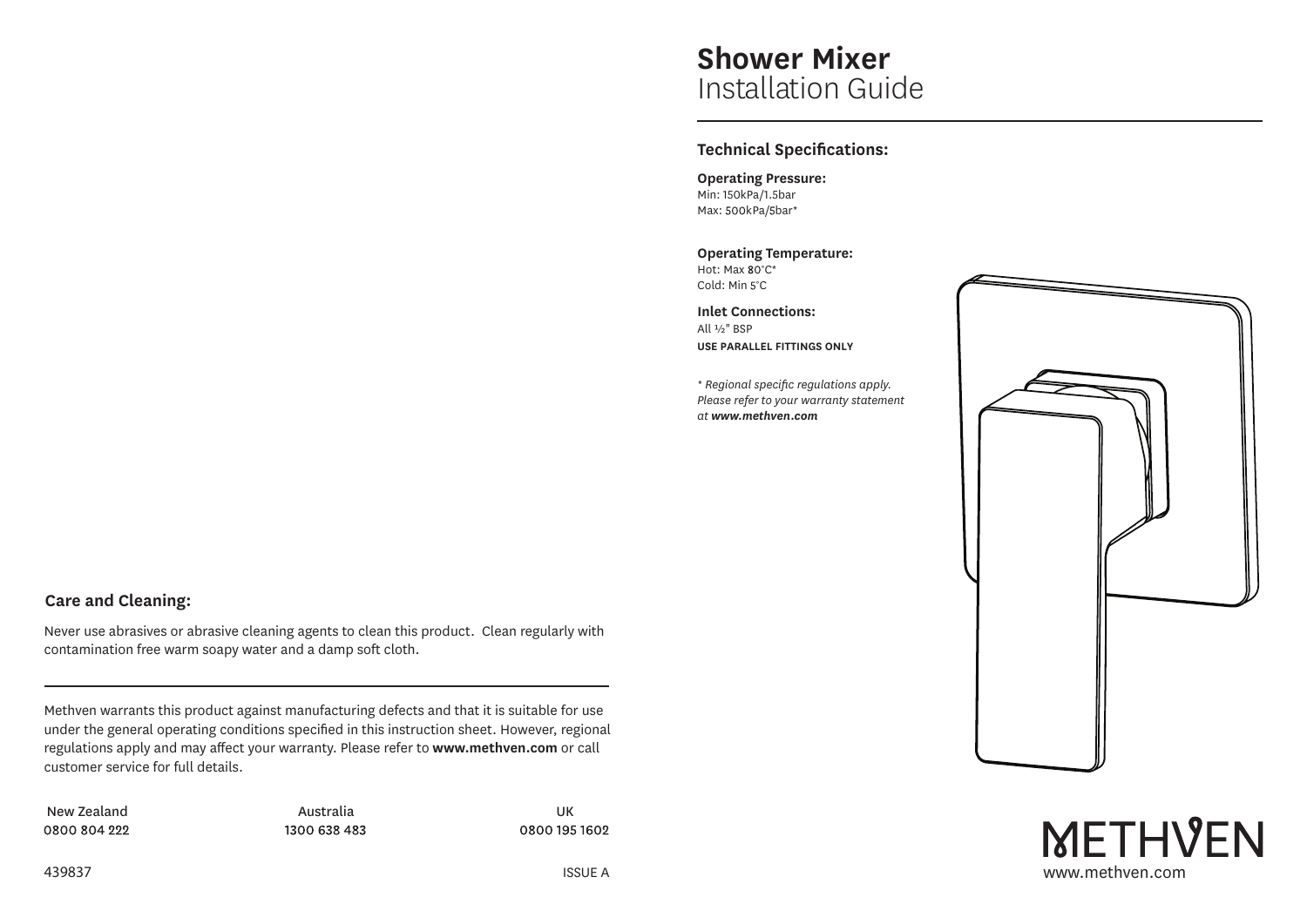# **Shower Mixer** Installation Guide

# **Technical Specifications:**

**Operating Pressure:** Min: 150kPa/1.5bar Max: 500kPa/5bar\*

#### **Operating Temperature:**

Hot: Max 80°C\* Cold: Min 5°C

**Inlet Connections:** All ½" BSP **USE PARALLEL FITTINGS ONLY**

*\* Regional specific regulations apply. Please refer to your warranty statement at www.methven.com*



**METHVEN** 

# **Care and Cleaning:**

Never use abrasives or abrasive cleaning agents to clean this product. Clean regularly with contamination free warm soapy water and a damp soft cloth.

Methven warrants this product against manufacturing defects and that it is suitable for use under the general operating conditions specified in this instruction sheet. However, regional regulations apply and may affect your warranty. Please refer to **www.methven.com** or call customer service for full details.

New Zealand and an analytic Australia and Australia and the UK 0800 804 222

1300 638 483

0800 195 1602